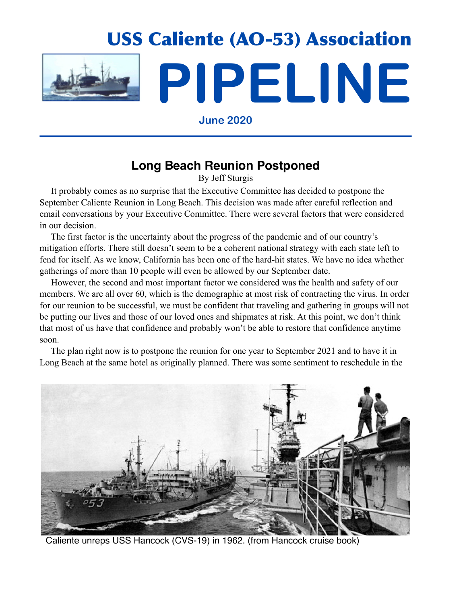

**June 2020**

## **Long Beach Reunion Postponed**

By Jeff Sturgis

 It probably comes as no surprise that the Executive Committee has decided to postpone the September Caliente Reunion in Long Beach. This decision was made after careful reflection and email conversations by your Executive Committee. There were several factors that were considered in our decision.

 The first factor is the uncertainty about the progress of the pandemic and of our country's mitigation efforts. There still doesn't seem to be a coherent national strategy with each state left to fend for itself. As we know, California has been one of the hard-hit states. We have no idea whether gatherings of more than 10 people will even be allowed by our September date.

 However, the second and most important factor we considered was the health and safety of our members. We are all over 60, which is the demographic at most risk of contracting the virus. In order for our reunion to be successful, we must be confident that traveling and gathering in groups will not be putting our lives and those of our loved ones and shipmates at risk. At this point, we don't think that most of us have that confidence and probably won't be able to restore that confidence anytime soon.

 The plan right now is to postpone the reunion for one year to September 2021 and to have it in Long Beach at the same hotel as originally planned. There was some sentiment to reschedule in the



Caliente unreps USS Hancock (CVS-19) in 1962. (from Hancock cruise book)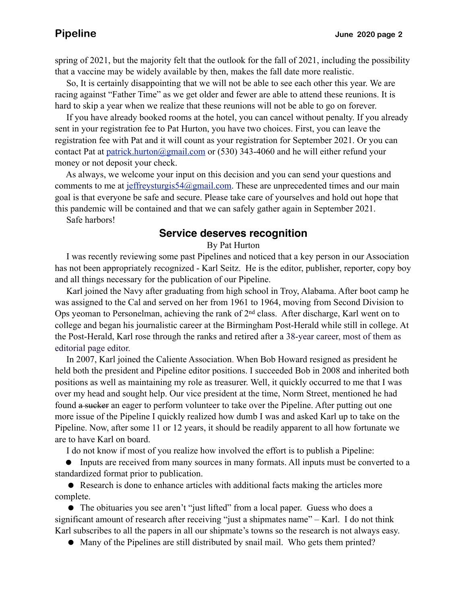spring of 2021, but the majority felt that the outlook for the fall of 2021, including the possibility that a vaccine may be widely available by then, makes the fall date more realistic.

 So, It is certainly disappointing that we will not be able to see each other this year. We are racing against "Father Time" as we get older and fewer are able to attend these reunions. It is hard to skip a year when we realize that these reunions will not be able to go on forever.

 If you have already booked rooms at the hotel, you can cancel without penalty. If you already sent in your registration fee to Pat Hurton, you have two choices. First, you can leave the registration fee with Pat and it will count as your registration for September 2021. Or you can contact Pat at [patrick.hurton@gmail.com](mailto:patrick.hurton@gmail.com) or (530) 343-4060 and he will either refund your money or not deposit your check.

 As always, we welcome your input on this decision and you can send your questions and comments to me at [jeffreysturgis54@gmail.com.](mailto:jeffreysturgis54@gmail.com) These are unprecedented times and our main goal is that everyone be safe and secure. Please take care of yourselves and hold out hope that this pandemic will be contained and that we can safely gather again in September 2021.

Safe harbors!

### **Service deserves recognition**

By Pat Hurton

 I was recently reviewing some past Pipelines and noticed that a key person in our Association has not been appropriately recognized - Karl Seitz. He is the editor, publisher, reporter, copy boy and all things necessary for the publication of our Pipeline.

 Karl joined the Navy after graduating from high school in Troy, Alabama. After boot camp he was assigned to the Cal and served on her from 1961 to 1964, moving from Second Division to Ops yeoman to Personelman, achieving the rank of 2<sup>nd</sup> class. After discharge, Karl went on to college and began his journalistic career at the Birmingham Post-Herald while still in college. At the Post-Herald, Karl rose through the ranks and retired after a 38-year career, most of them as editorial page editor.

 In 2007, Karl joined the Caliente Association. When Bob Howard resigned as president he held both the president and Pipeline editor positions. I succeeded Bob in 2008 and inherited both positions as well as maintaining my role as treasurer. Well, it quickly occurred to me that I was over my head and sought help. Our vice president at the time, Norm Street, mentioned he had found a sucker an eager to perform volunteer to take over the Pipeline. After putting out one more issue of the Pipeline I quickly realized how dumb I was and asked Karl up to take on the Pipeline. Now, after some 11 or 12 years, it should be readily apparent to all how fortunate we are to have Karl on board.

I do not know if most of you realize how involved the effort is to publish a Pipeline:

• Inputs are received from many sources in many formats. All inputs must be converted to a standardized format prior to publication.

• Research is done to enhance articles with additional facts making the articles more complete.

• The obituaries you see aren't "just lifted" from a local paper. Guess who does a significant amount of research after receiving "just a shipmates name" – Karl. I do not think Karl subscribes to all the papers in all our shipmate's towns so the research is not always easy.

! Many of the Pipelines are still distributed by snail mail. Who gets them printed?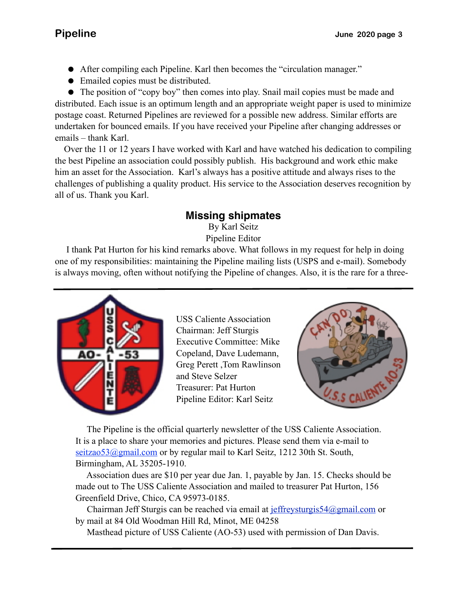- ! After compiling each Pipeline. Karl then becomes the "circulation manager."
- Emailed copies must be distributed.

 emails – thank Karl. • The position of "copy boy" then comes into play. Snail mail copies must be made and distributed. Each issue is an optimum length and an appropriate weight paper is used to minimize postage coast. Returned Pipelines are reviewed for a possible new address. Similar efforts are undertaken for bounced emails. If you have received your Pipeline after changing addresses or

 Over the 11 or 12 years I have worked with Karl and have watched his dedication to compiling the best Pipeline an association could possibly publish. His background and work ethic make him an asset for the Association. Karl's always has a positive attitude and always rises to the challenges of publishing a quality product. His service to the Association deserves recognition by all of us. Thank you Karl.

## **Missing shipmates**

By Karl Seitz Pipeline Editor

 I thank Pat Hurton for his kind remarks above. What follows in my request for help in doing one of my responsibilities: maintaining the Pipeline mailing lists (USPS and e-mail). Somebody is always moving, often without notifying the Pipeline of changes. Also, it is the rare for a three-



USS Caliente Association Chairman: Jeff Sturgis Executive Committee: Mike Copeland, Dave Ludemann, Greg Perett ,Tom Rawlinson and Steve Selzer Treasurer: Pat Hurton Pipeline Editor: Karl Seitz



 The Pipeline is the official quarterly newsletter of the USS Caliente Association. It is a place to share your memories and pictures. Please send them via e-mail to seitzao53@gmail.com or by regular mail to Karl Seitz, 1212 30th St. South, Birmingham, AL 35205-1910.

 Association dues are \$10 per year due Jan. 1, payable by Jan. 15. Checks should be made out to The USS Caliente Association and mailed to treasurer Pat Hurton, 156 Greenfield Drive, Chico, CA 95973-0185.

 Chairman Jeff Sturgis can be reached via email at [jeffreysturgis54@gmail.com](mailto:jeffreysturgis54@gmail.com) or by mail at 84 Old Woodman Hill Rd, Minot, ME 04258

Masthead picture of USS Caliente (AO-53) used with permission of Dan Davis.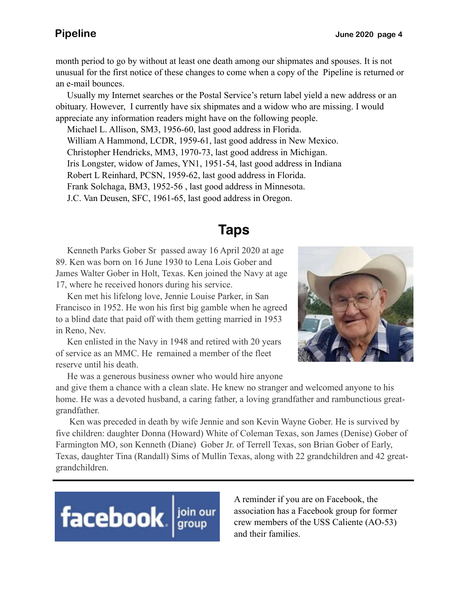month period to go by without at least one death among our shipmates and spouses. It is not unusual for the first notice of these changes to come when a copy of the Pipeline is returned or an e-mail bounces.

 Usually my Internet searches or the Postal Service's return label yield a new address or an obituary. However, I currently have six shipmates and a widow who are missing. I would appreciate any information readers might have on the following people.

 Michael L. Allison, SM3, 1956-60, last good address in Florida. William A Hammond, LCDR, 1959-61, last good address in New Mexico. Christopher Hendricks, MM3, 1970-73, last good address in Michigan. Iris Longster, widow of James, YN1, 1951-54, last good address in Indiana Robert L Reinhard, PCSN, 1959-62, last good address in Florida. Frank Solchaga, BM3, 1952-56 , last good address in Minnesota. J.C. Van Deusen, SFC, 1961-65, last good address in Oregon.

# **Taps**

 Kenneth Parks Gober Sr passed away 16 April 2020 at age 89. Ken was born on 16 June 1930 to Lena Lois Gober and James Walter Gober in Holt, Texas. Ken joined the Navy at age 17, where he received honors during his service.

 Ken met his lifelong love, Jennie Louise Parker, in San Francisco in 1952. He won his first big gamble when he agreed to a blind date that paid off with them getting married in 1953 in Reno, Nev.

 Ken enlisted in the Navy in 1948 and retired with 20 years of service as an MMC. He remained a member of the fleet reserve until his death.

He was a generous business owner who would hire anyone



and give them a chance with a clean slate. He knew no stranger and welcomed anyone to his home. He was a devoted husband, a caring father, a loving grandfather and rambunctious greatgrandfather.

 Ken was preceded in death by wife Jennie and son Kevin Wayne Gober. He is survived by five children: daughter Donna (Howard) White of Coleman Texas, son James (Denise) Gober of Farmington MO, son Kenneth (Diane) Gober Jr. of Terrell Texas, son Brian Gober of Early, Texas, daughter Tina (Randall) Sims of Mullin Texas, along with 22 grandchildren and 42 greatgrandchildren.



A reminder if you are on Facebook, the association has a Facebook group for former crew members of the USS Caliente (AO-53) and their families.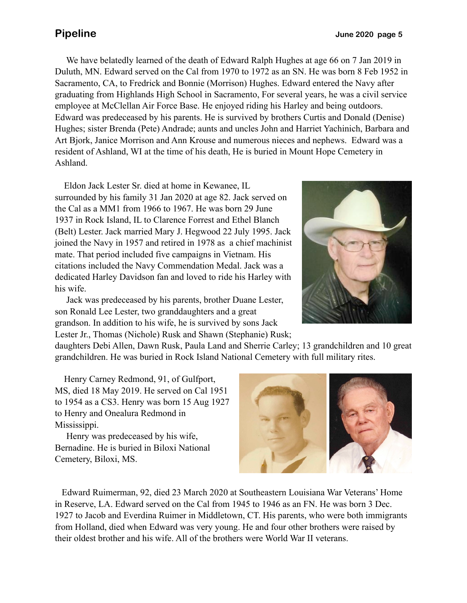We have belatedly learned of the death of Edward Ralph Hughes at age 66 on 7 Jan 2019 in Duluth, MN. Edward served on the Cal from 1970 to 1972 as an SN. He was born 8 Feb 1952 in Sacramento, CA, to Fredrick and Bonnie (Morrison) Hughes. Edward entered the Navy after graduating from Highlands High School in Sacramento, For several years, he was a civil service employee at McClellan Air Force Base. He enjoyed riding his Harley and being outdoors. Edward was predeceased by his parents. He is survived by brothers Curtis and Donald (Denise) Hughes; sister Brenda (Pete) Andrade; aunts and uncles John and Harriet Yachinich, Barbara and Art Bjork, Janice Morrison and Ann Krouse and numerous nieces and nephews. Edward was a resident of Ashland, WI at the time of his death, He is buried in Mount Hope Cemetery in Ashland.

 Eldon Jack Lester Sr. died at home in Kewanee, IL surrounded by his family 31 Jan 2020 at age 82. Jack served on the Cal as a MM1 from 1966 to 1967. He was born 29 June 1937 in Rock Island, IL to Clarence Forrest and Ethel Blanch (Belt) Lester. Jack married Mary J. Hegwood 22 July 1995. Jack joined the Navy in 1957 and retired in 1978 as a chief machinist mate. That period included five campaigns in Vietnam. His citations included the Navy Commendation Medal. Jack was a dedicated Harley Davidson fan and loved to ride his Harley with his wife.

 Jack was predeceased by his parents, brother Duane Lester, son Ronald Lee Lester, two granddaughters and a great grandson. In addition to his wife, he is survived by sons Jack Lester Jr., Thomas (Nichole) Rusk and Shawn (Stephanie) Rusk;



daughters Debi Allen, Dawn Rusk, Paula Land and Sherrie Carley; 13 grandchildren and 10 great grandchildren. He was buried in Rock Island National Cemetery with full military rites.

 Henry Carney Redmond, 91, of Gulfport, MS, died 18 May 2019. He served on Cal 1951 to 1954 as a CS3. Henry was born 15 Aug 1927 to Henry and Onealura Redmond in Mississippi.

 Henry was predeceased by his wife, Bernadine. He is buried in Biloxi National Cemetery, Biloxi, MS.



 Edward Ruimerman, 92, died 23 March 2020 at Southeastern Louisiana War Veterans' Home in Reserve, LA. Edward served on the Cal from 1945 to 1946 as an FN. He was born 3 Dec. 1927 to Jacob and Everdina Ruimer in Middletown, CT. His parents, who were both immigrants from Holland, died when Edward was very young. He and four other brothers were raised by their oldest brother and his wife. All of the brothers were World War II veterans.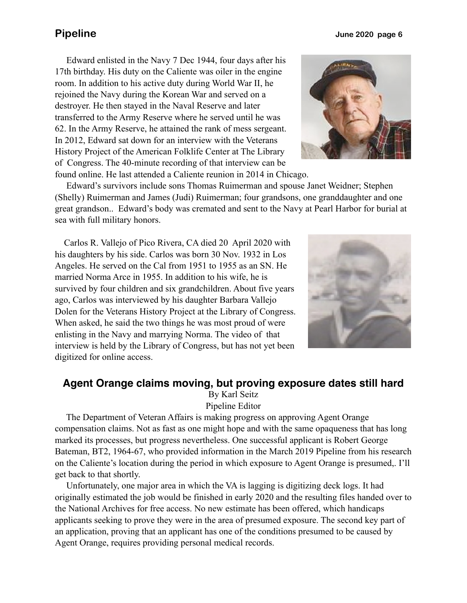Edward enlisted in the Navy 7 Dec 1944, four days after his 17th birthday. His duty on the Caliente was oiler in the engine room. In addition to his active duty during World War II, he rejoined the Navy during the Korean War and served on a destroyer. He then stayed in the Naval Reserve and later transferred to the Army Reserve where he served until he was 62. In the Army Reserve, he attained the rank of mess sergeant. In 2012, Edward sat down for an interview with the Veterans History Project of the American Folklife Center at The Library of Congress. The 40-minute recording of that interview can be found online. He last attended a Caliente reunion in 2014 in Chicago.

 Edward's survivors include sons Thomas Ruimerman and spouse Janet Weidner; Stephen (Shelly) Ruimerman and James (Judi) Ruimerman; four grandsons, one granddaughter and one great grandson.. Edward's body was cremated and sent to the Navy at Pearl Harbor for burial at sea with full military honors.

 Carlos R. Vallejo of Pico Rivera, CA died 20 April 2020 with his daughters by his side. Carlos was born 30 Nov. 1932 in Los Angeles. He served on the Cal from 1951 to 1955 as an SN. He married Norma Arce in 1955. In addition to his wife, he is survived by four children and six grandchildren. About five years ago, Carlos was interviewed by his daughter Barbara Vallejo Dolen for the Veterans History Project at the Library of Congress. When asked, he said the two things he was most proud of were enlisting in the Navy and marrying Norma. The video of that interview is held by the Library of Congress, but has not yet been digitized for online access.

### **Agent Orange claims moving, but proving exposure dates still hard**

By Karl Seitz

Pipeline Editor

 The Department of Veteran Affairs is making progress on approving Agent Orange compensation claims. Not as fast as one might hope and with the same opaqueness that has long marked its processes, but progress nevertheless. One successful applicant is Robert George Bateman, BT2, 1964-67, who provided information in the March 2019 Pipeline from his research on the Caliente's location during the period in which exposure to Agent Orange is presumed,. I'll get back to that shortly.

 Unfortunately, one major area in which the VA is lagging is digitizing deck logs. It had originally estimated the job would be finished in early 2020 and the resulting files handed over to the National Archives for free access. No new estimate has been offered, which handicaps applicants seeking to prove they were in the area of presumed exposure. The second key part of an application, proving that an applicant has one of the conditions presumed to be caused by Agent Orange, requires providing personal medical records.



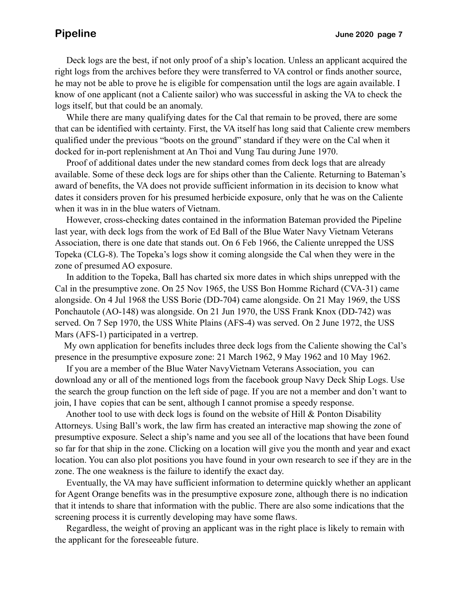Deck logs are the best, if not only proof of a ship's location. Unless an applicant acquired the right logs from the archives before they were transferred to VA control or finds another source, he may not be able to prove he is eligible for compensation until the logs are again available. I know of one applicant (not a Caliente sailor) who was successful in asking the VA to check the logs itself, but that could be an anomaly.

 While there are many qualifying dates for the Cal that remain to be proved, there are some that can be identified with certainty. First, the VA itself has long said that Caliente crew members qualified under the previous "boots on the ground" standard if they were on the Cal when it docked for in-port replenishment at An Thoi and Vung Tau during June 1970.

 Proof of additional dates under the new standard comes from deck logs that are already available. Some of these deck logs are for ships other than the Caliente. Returning to Bateman's award of benefits, the VA does not provide sufficient information in its decision to know what dates it considers proven for his presumed herbicide exposure, only that he was on the Caliente when it was in in the blue waters of Vietnam.

 However, cross-checking dates contained in the information Bateman provided the Pipeline last year, with deck logs from the work of Ed Ball of the Blue Water Navy Vietnam Veterans Association, there is one date that stands out. On 6 Feb 1966, the Caliente unrepped the USS Topeka (CLG-8). The Topeka's logs show it coming alongside the Cal when they were in the zone of presumed AO exposure.

 In addition to the Topeka, Ball has charted six more dates in which ships unrepped with the Cal in the presumptive zone. On 25 Nov 1965, the USS Bon Homme Richard (CVA-31) came alongside. On 4 Jul 1968 the USS Borie (DD-704) came alongside. On 21 May 1969, the USS Ponchautole (AO-148) was alongside. On 21 Jun 1970, the USS Frank Knox (DD-742) was served. On 7 Sep 1970, the USS White Plains (AFS-4) was served. On 2 June 1972, the USS Mars (AFS-1) participated in a vertrep.

 My own application for benefits includes three deck logs from the Caliente showing the Cal's presence in the presumptive exposure zone: 21 March 1962, 9 May 1962 and 10 May 1962.

 If you are a member of the Blue Water NavyVietnam Veterans Association, you can download any or all of the mentioned logs from the facebook group Navy Deck Ship Logs. Use the search the group function on the left side of page. If you are not a member and don't want to join, I have copies that can be sent, although I cannot promise a speedy response.

Another tool to use with deck logs is found on the website of Hill & Ponton Disability Attorneys. Using Ball's work, the law firm has created an interactive map showing the zone of presumptive exposure. Select a ship's name and you see all of the locations that have been found so far for that ship in the zone. Clicking on a location will give you the month and year and exact location. You can also plot positions you have found in your own research to see if they are in the zone. The one weakness is the failure to identify the exact day.

 Eventually, the VA may have sufficient information to determine quickly whether an applicant for Agent Orange benefits was in the presumptive exposure zone, although there is no indication that it intends to share that information with the public. There are also some indications that the screening process it is currently developing may have some flaws.

 Regardless, the weight of proving an applicant was in the right place is likely to remain with the applicant for the foreseeable future.